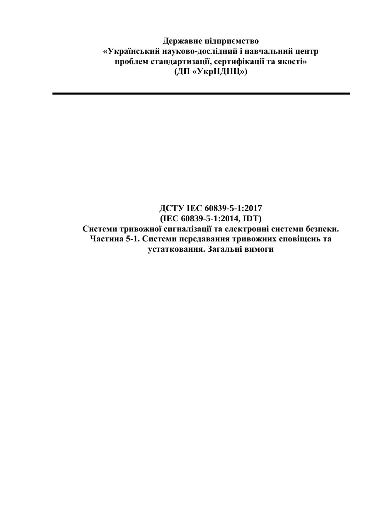**Державне підприємство «Український науково-дослідний і навчальний центр проблем стандартизації, сертифікації та якості» (ДП «УкрНДНЦ»)**

## **ДСТУ IEC 60839-5-1:2017 (IEC 60839-5-1:2014, IDT) Системи тривожної сигналізації та електронні системи безпеки. Частина 5-1. Системи передавання тривожних сповіщень та устатковання. Загальні вимоги**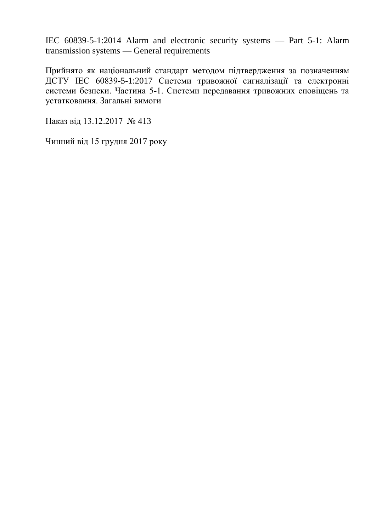IEC 60839-5-1:2014 Alarm and electronic security systems — Part 5-1: Alarm transmission systems — General requirements

Прийнято як національний стандарт методом підтвердження за позначенням ДСТУ IEC 60839-5-1:2017 Системи тривожної сигналізації та електронні системи безпеки. Частина 5-1. Системи передавання тривожних сповіщень та устатковання. Загальні вимоги

Наказ від 13.12.2017 № 413

Чинний від 15 грудня 2017 року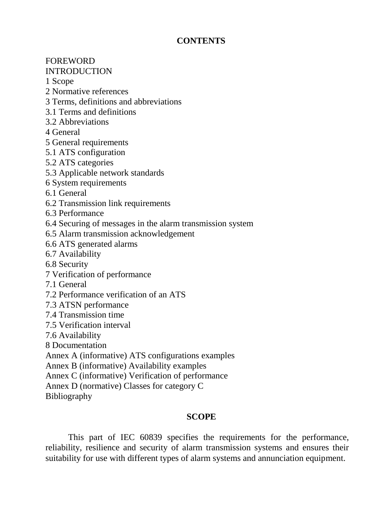## **CONTENTS**

FOREWORD

## INTRODUCTION

1 Scope

- 2 Normative references
- 3 Terms, definitions and abbreviations
- 3.1 Terms and definitions
- 3.2 Abbreviations
- 4 General
- 5 General requirements
- 5.1 ATS configuration
- 5.2 ATS categories
- 5.3 Applicable network standards
- 6 System requirements
- 6.1 General
- 6.2 Transmission link requirements
- 6.3 Performance
- 6.4 Securing of messages in the alarm transmission system
- 6.5 Alarm transmission acknowledgement
- 6.6 ATS generated alarms
- 6.7 Availability
- 6.8 Security
- 7 Verification of performance
- 7.1 General
- 7.2 Performance verification of an ATS
- 7.3 ATSN performance
- 7.4 Transmission time
- 7.5 Verification interval
- 7.6 Availability
- 8 Documentation
- Annex A (informative) ATS configurations examples
- Annex B (informative) Availability examples
- Annex C (informative) Verification of performance
- Annex D (normative) Classes for category C
- Bibliography

## **SCOPE**

This part of IEC 60839 specifies the requirements for the performance, reliability, resilience and security of alarm transmission systems and ensures their suitability for use with different types of alarm systems and annunciation equipment.